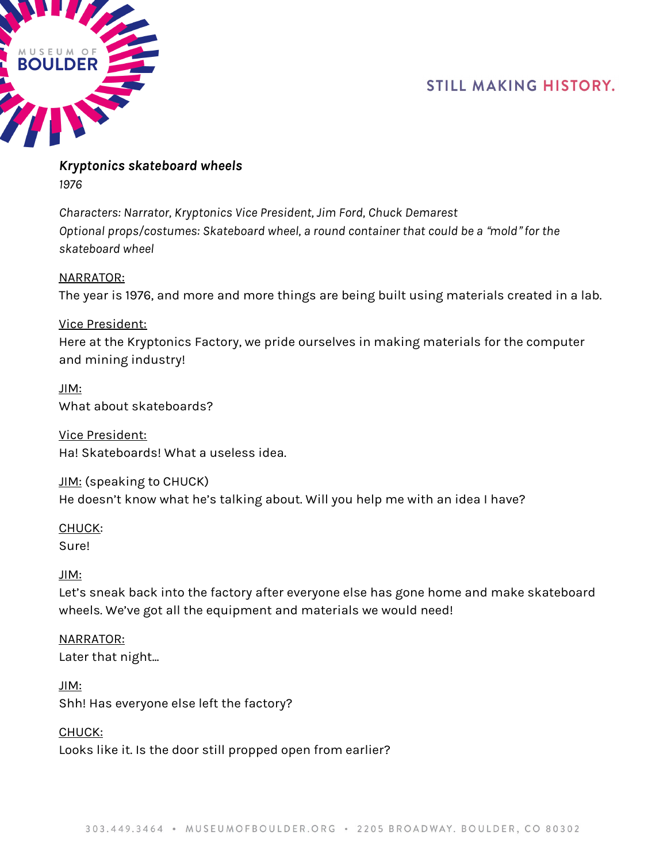

*Kryptonics skateboard wheels 1976*

*Characters: Narrator, Kryptonics Vice President, Jim Ford, Chuck Demarest Optional props/costumes: Skateboard wheel, a round container that could be a* "*mold*" *for the skateboard wheel*

NARRATOR: The year is 1976, and more and more things are being built using materials created in a lab.

Vice President: Here at the Kryptonics Factory, we pride ourselves in making materials for the computer and mining industry!

JIM: What about skateboards?

Vice President: Ha! Skateboards! What a useless idea.

JIM: (speaking to CHUCK) He doesn't know what he's talking about. Will you help me with an idea I have?

CHUCK: Sure!

JIM:

Let's sneak back into the factory after everyone else has gone home and make skateboard wheels. We've got all the equipment and materials we would need!

NARRATOR: Later that night...

JIM: Shh! Has everyone else left the factory?

CHUCK:

Looks like it. Is the door still propped open from earlier?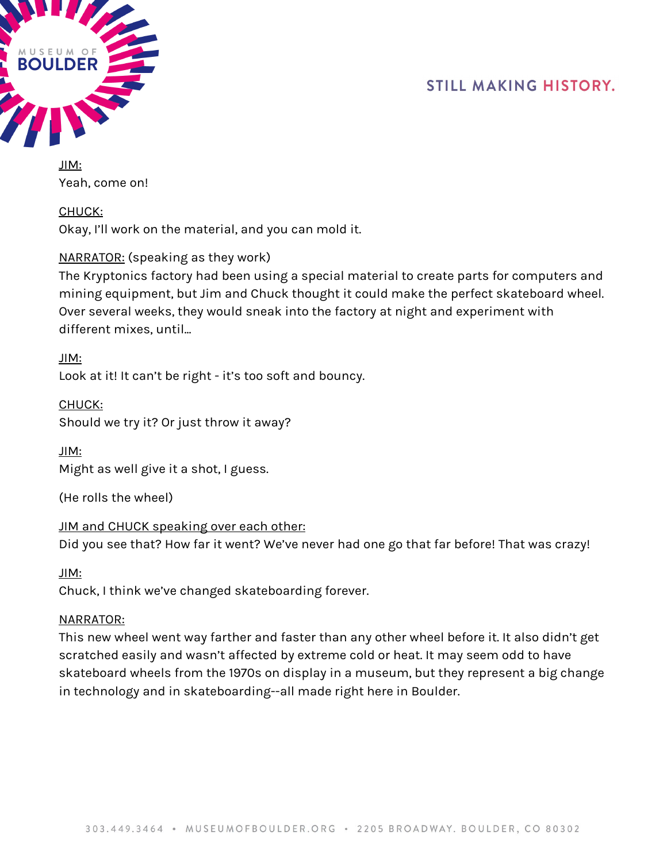

JIM: Yeah, come on!

CHUCK:

Okay, I'll work on the material, and you can mold it.

## NARRATOR: (speaking as they work)

The Kryptonics factory had been using a special material to create parts for computers and mining equipment, but Jim and Chuck thought it could make the perfect skateboard wheel. Over several weeks, they would sneak into the factory at night and experiment with different mixes, until...

JIM: Look at it! It can't be right - it's too soft and bouncy.

CHUCK: Should we try it? Or just throw it away?

JIM: Might as well give it a shot, I guess.

(He rolls the wheel)

JIM and CHUCK speaking over each other: Did you see that? How far it went? We've never had one go that far before! That was crazy!

JIM:

Chuck, I think we've changed skateboarding forever.

#### NARRATOR:

This new wheel went way farther and faster than any other wheel before it. It also didn't get scratched easily and wasn't affected by extreme cold or heat. It may seem odd to have skateboard wheels from the 1970s on display in a museum, but they represent a big change in technology and in skateboarding--all made right here in Boulder.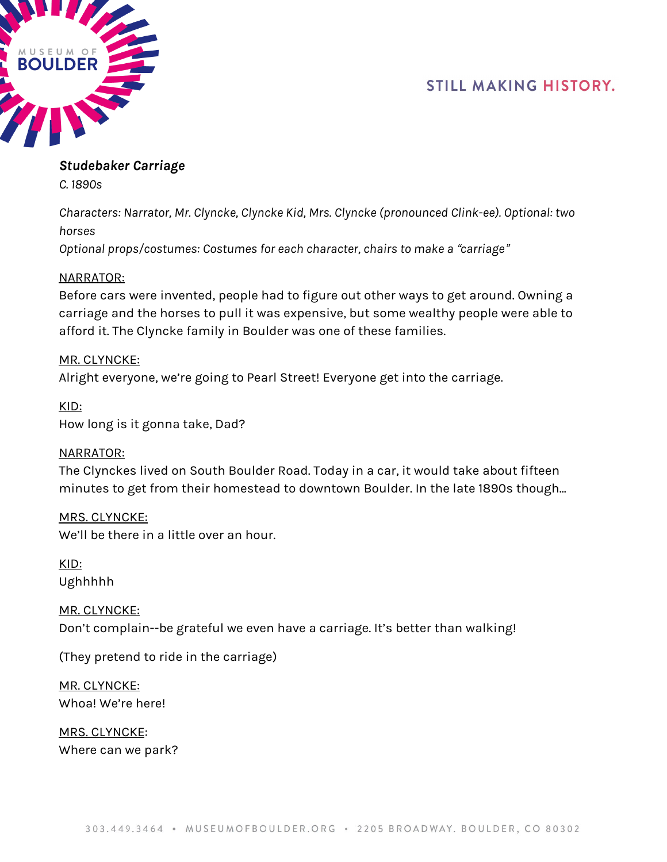

## *Studebaker Carriage*

*C. 1890s*

*Characters: Narrator, Mr. Clyncke, Clyncke Kid, Mrs. Clyncke (pronounced Clink-ee). Optional: two horses*

*Optional props/costumes: Costumes for each character, chairs to make a* "*carriage*"

## NARRATOR:

Before cars were invented, people had to figure out other ways to get around. Owning a carriage and the horses to pull it was expensive, but some wealthy people were able to afford it. The Clyncke family in Boulder was one of these families.

## MR. CLYNCKE:

Alright everyone, we're going to Pearl Street! Everyone get into the carriage.

KID: How long is it gonna take, Dad?

#### NARRATOR:

The Clynckes lived on South Boulder Road. Today in a car, it would take about fifteen minutes to get from their homestead to downtown Boulder. In the late 1890s though...

MRS. CLYNCKE: We'll be there in a little over an hour.

KID: Ughhhhh

MR. CLYNCKE: Don't complain--be grateful we even have a carriage. It's better than walking!

(They pretend to ride in the carriage)

MR. CLYNCKE: Whoa! We're here!

MRS. CLYNCKE: Where can we park?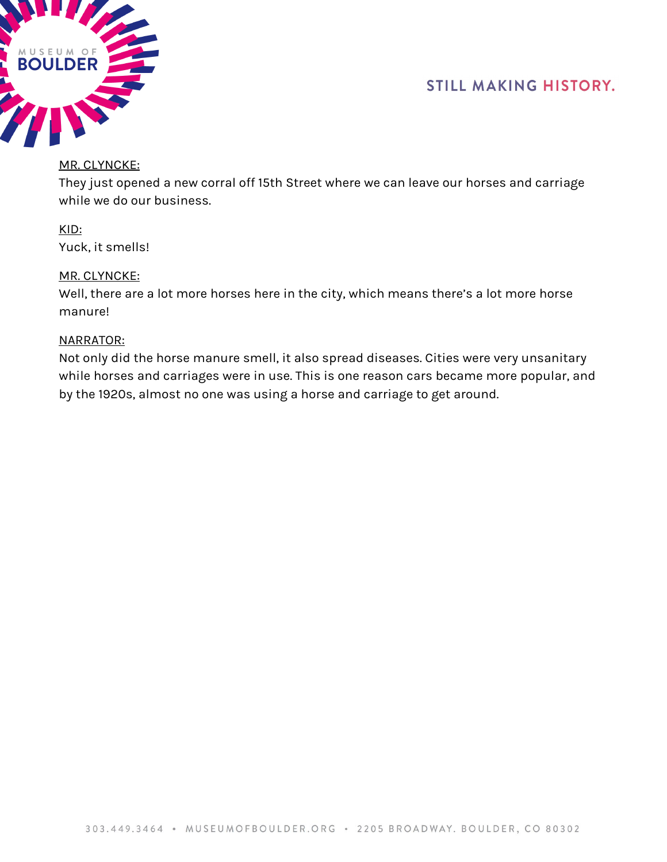



#### MR. CLYNCKE:

They just opened a new corral off 15th Street where we can leave our horses and carriage while we do our business.

KID: Yuck, it smells!

#### MR. CLYNCKE:

Well, there are a lot more horses here in the city, which means there's a lot more horse manure!

#### NARRATOR:

Not only did the horse manure smell, it also spread diseases. Cities were very unsanitary while horses and carriages were in use. This is one reason cars became more popular, and by the 1920s, almost no one was using a horse and carriage to get around.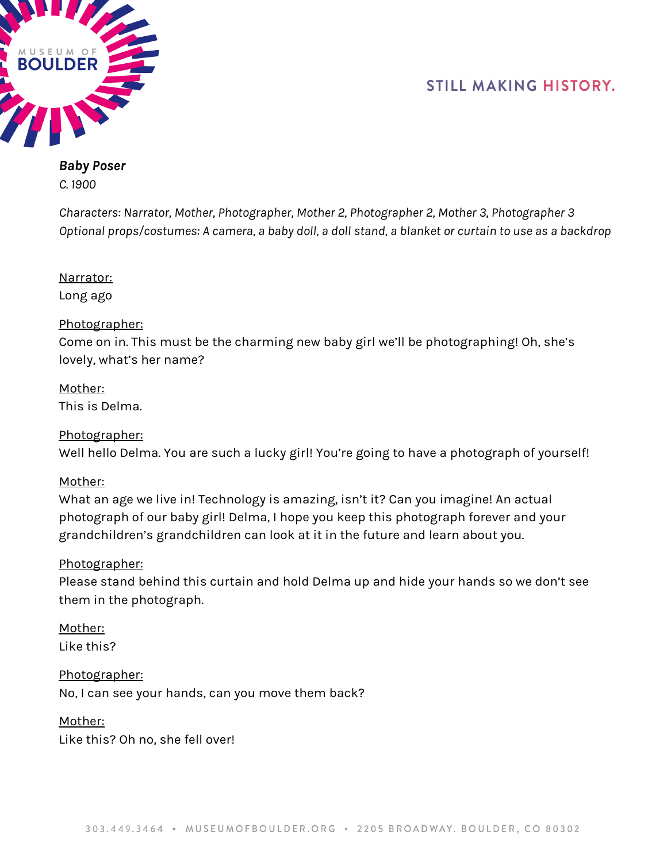



## *Baby Poser C. 1900*

*Characters: Narrator, Mother, Photographer, Mother 2, Photographer 2, Mother 3, Photographer 3* Optional props/costumes: A camera, a baby doll, a doll stand, a blanket or curtain to use as a backdrop

Narrator: Long ago

## Photographer:

Come on in. This must be the charming new baby girl we'll be photographing! Oh, she's lovely, what's her name?

Mother: This is Delma.

## Photographer:

Well hello Delma. You are such a lucky girl! You're going to have a photograph of yourself!

#### Mother:

What an age we live in! Technology is amazing, isn't it? Can you imagine! An actual photograph of our baby girl! Delma, I hope you keep this photograph forever and your grandchildren's grandchildren can look at it in the future and learn about you.

#### Photographer:

Please stand behind this curtain and hold Delma up and hide your hands so we don't see them in the photograph.

Mother:

Like this?

Photographer: No, I can see your hands, can you move them back?

Mother:

Like this? Oh no, she fell over!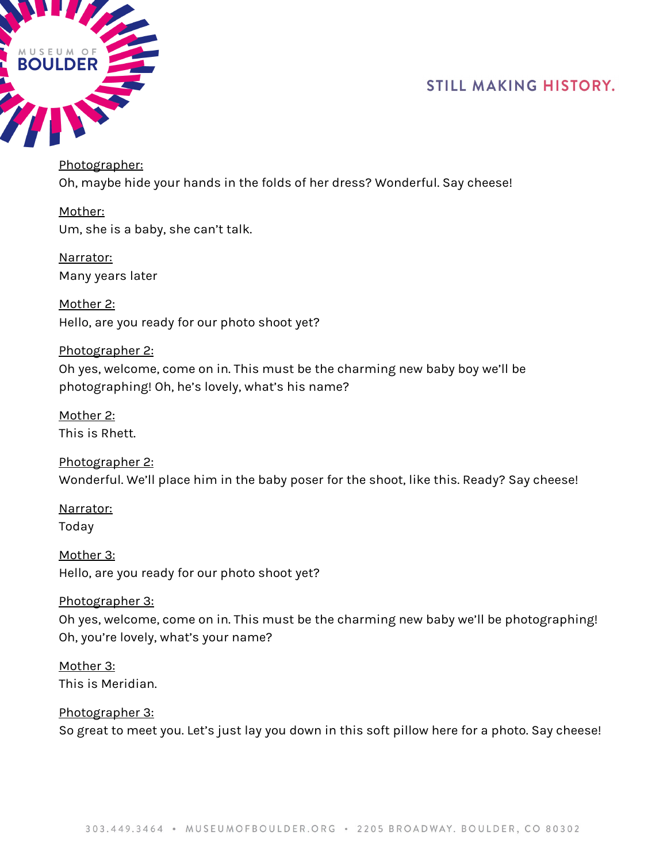

Photographer: Oh, maybe hide your hands in the folds of her dress? Wonderful. Say cheese!

Mother: Um, she is a baby, she can't talk.

Narrator: Many years later

Mother 2: Hello, are you ready for our photo shoot yet?

Photographer 2: Oh yes, welcome, come on in. This must be the charming new baby boy we'll be photographing! Oh, he's lovely, what's his name?

Mother 2: This is Rhett.

Photographer 2: Wonderful. We'll place him in the baby poser for the shoot, like this. Ready? Say cheese!

Narrator: Today

Mother 3: Hello, are you ready for our photo shoot yet?

Photographer 3:

Oh yes, welcome, come on in. This must be the charming new baby we'll be photographing! Oh, you're lovely, what's your name?

Mother 3: This is Meridian.

Photographer 3: So great to meet you. Let's just lay you down in this soft pillow here for a photo. Say cheese!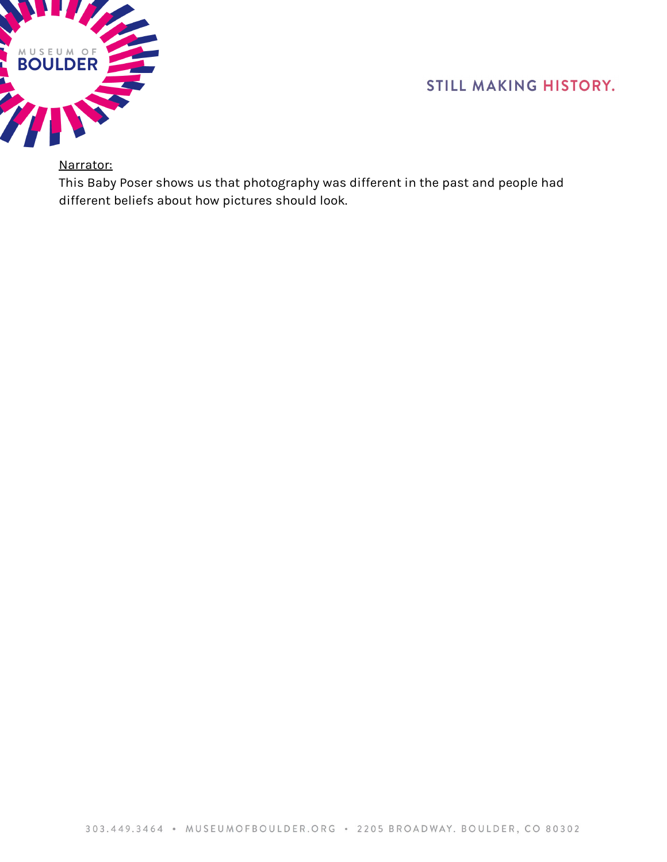

## Narrator:

This Baby Poser shows us that photography was different in the past and people had different beliefs about how pictures should look.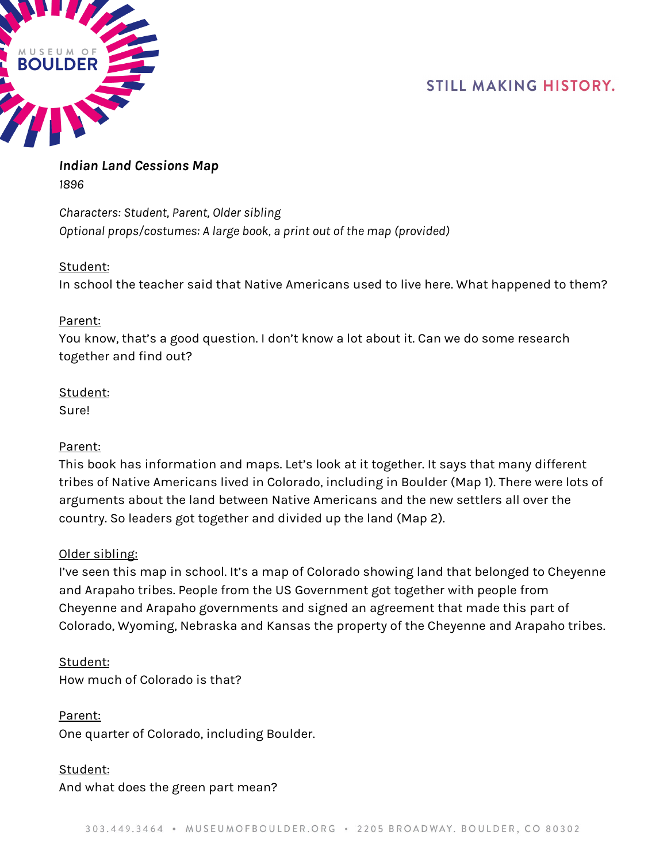

## *Indian Land Cessions Map 1896*

*Characters: Student, Parent, Older sibling Optional props/costumes: A large book, a print out of the map (provided)*

## Student:

In school the teacher said that Native Americans used to live here. What happened to them?

## Parent:

You know, that's a good question. I don't know a lot about it. Can we do some research together and find out?

## Student:

Sure!

## Parent:

This book has information and maps. Let's look at it together. It says that many different tribes of Native Americans lived in Colorado, including in Boulder (Map 1). There were lots of arguments about the land between Native Americans and the new settlers all over the country. So leaders got together and divided up the land (Map 2).

## Older sibling:

I've seen this map in school. It's a map of Colorado showing land that belonged to Cheyenne and Arapaho tribes. People from the US Government got together with people from Cheyenne and Arapaho governments and signed an agreement that made this part of Colorado, Wyoming, Nebraska and Kansas the property of the Cheyenne and Arapaho tribes.

## Student:

How much of Colorado is that?

## Parent:

One quarter of Colorado, including Boulder.

## Student:

And what does the green part mean?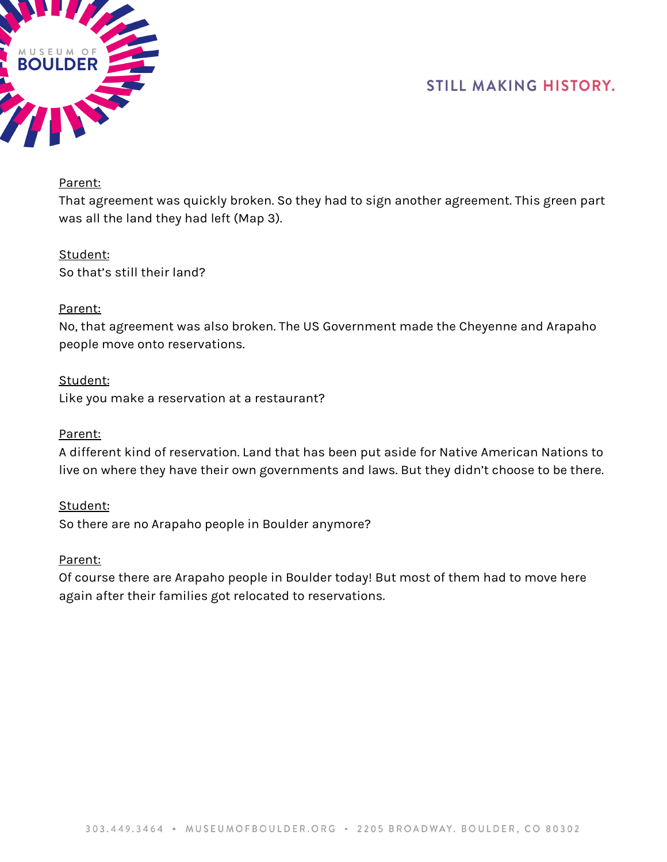



#### Parent:

That agreement was quickly broken. So they had to sign another agreement. This green part was all the land they had left (Map 3).

# Student:

So that's still their land?

## Parent:

No, that agreement was also broken. The US Government made the Cheyenne and Arapaho people move onto reservations.

## Student:

Like you make a reservation at a restaurant?

#### Parent:

A different kind of reservation. Land that has been put aside for Native American Nations to live on where they have their own governments and laws. But they didn't choose to be there.

Student: So there are no Arapaho people in Boulder anymore?

#### Parent:

Of course there are Arapaho people in Boulder today! But most of them had to move here again after their families got relocated to reservations.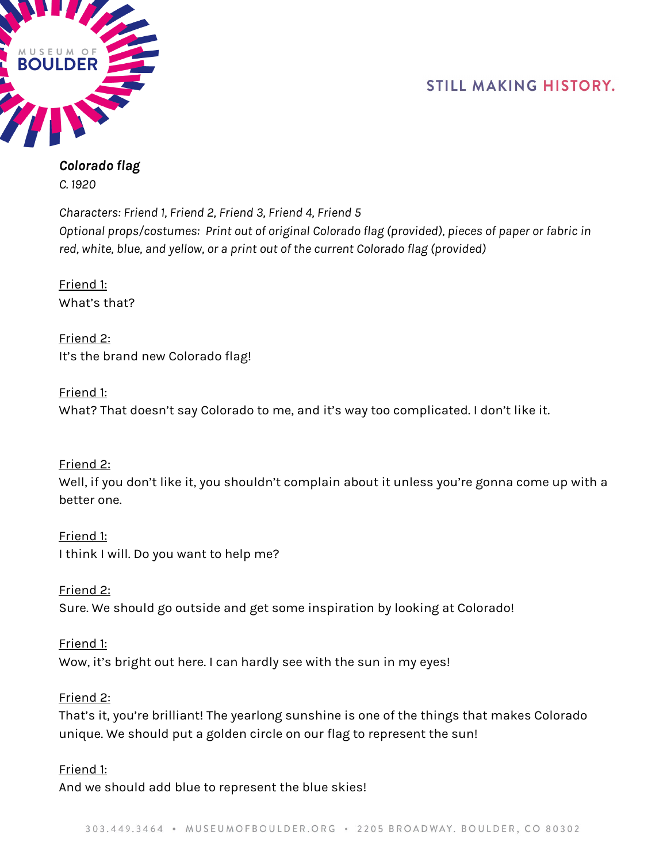

#### *Colorado flag C. 1920*

*Characters: Friend 1, Friend 2, Friend 3, Friend 4, Friend 5 Optional props/costumes: Print out of original Colorado flag (provided), pieces of paper or fabric in red, white, blue, and yellow, or a print out of the current Colorado flag (provided)*

Friend 1: What's that?

Friend 2: It's the brand new Colorado flag!

Friend 1: What? That doesn't say Colorado to me, and it's way too complicated. I don't like it.

Friend 2: Well, if you don't like it, you shouldn't complain about it unless you're gonna come up with a better one.

Friend 1: I think I will. Do you want to help me?

Friend 2: Sure. We should go outside and get some inspiration by looking at Colorado!

Friend 1: Wow, it's bright out here. I can hardly see with the sun in my eyes!

Friend 2:

That's it, you're brilliant! The yearlong sunshine is one of the things that makes Colorado unique. We should put a golden circle on our flag to represent the sun!

Friend 1:

And we should add blue to represent the blue skies!